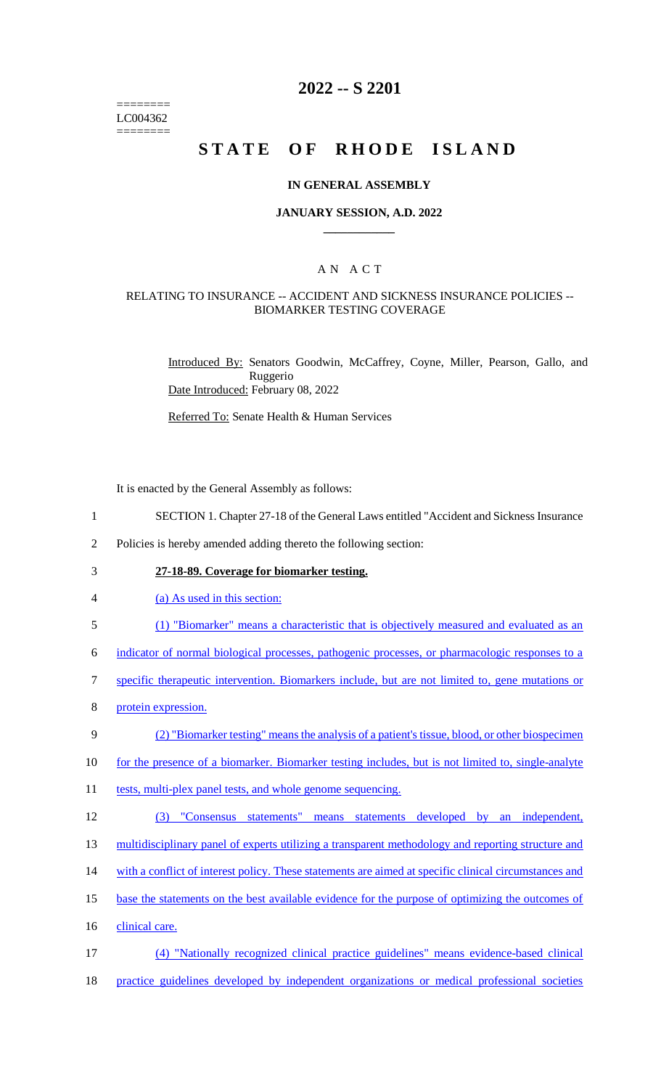======== LC004362 ========

# **2022 -- S 2201**

# **STATE OF RHODE ISLAND**

#### **IN GENERAL ASSEMBLY**

#### **JANUARY SESSION, A.D. 2022 \_\_\_\_\_\_\_\_\_\_\_\_**

## A N A C T

#### RELATING TO INSURANCE -- ACCIDENT AND SICKNESS INSURANCE POLICIES -- BIOMARKER TESTING COVERAGE

Introduced By: Senators Goodwin, McCaffrey, Coyne, Miller, Pearson, Gallo, and Ruggerio Date Introduced: February 08, 2022

Referred To: Senate Health & Human Services

It is enacted by the General Assembly as follows:

- 1 SECTION 1. Chapter 27-18 of the General Laws entitled "Accident and Sickness Insurance
- 2 Policies is hereby amended adding thereto the following section:
- 3 **27-18-89. Coverage for biomarker testing.**
- 4 (a) As used in this section:
- 5 (1) "Biomarker" means a characteristic that is objectively measured and evaluated as an

6 indicator of normal biological processes, pathogenic processes, or pharmacologic responses to a

- 7 specific therapeutic intervention. Biomarkers include, but are not limited to, gene mutations or
- 8 protein expression.

#### 9 (2) "Biomarker testing" means the analysis of a patient's tissue, blood, or other biospecimen

- 10 for the presence of a biomarker. Biomarker testing includes, but is not limited to, single-analyte
- 11 tests, multi-plex panel tests, and whole genome sequencing.
- 12 (3) "Consensus statements" means statements developed by an independent,
- 13 multidisciplinary panel of experts utilizing a transparent methodology and reporting structure and
- 14 with a conflict of interest policy. These statements are aimed at specific clinical circumstances and
- 15 base the statements on the best available evidence for the purpose of optimizing the outcomes of
- 16 clinical care.
- 17 (4) "Nationally recognized clinical practice guidelines" means evidence-based clinical
- 18 practice guidelines developed by independent organizations or medical professional societies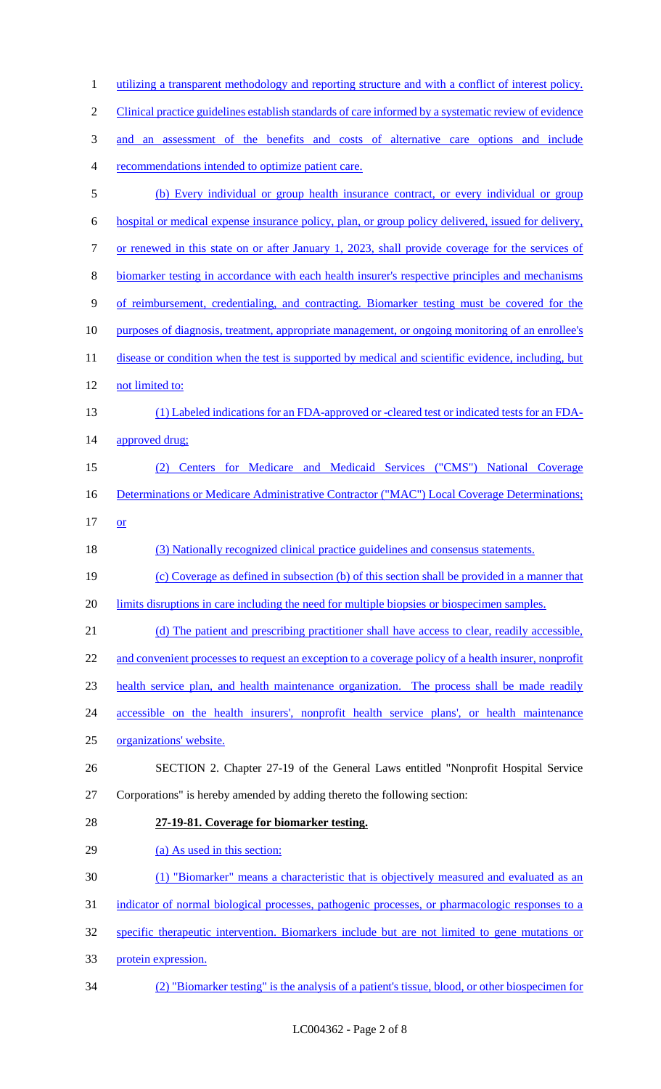1 utilizing a transparent methodology and reporting structure and with a conflict of interest policy. Clinical practice guidelines establish standards of care informed by a systematic review of evidence and an assessment of the benefits and costs of alternative care options and include recommendations intended to optimize patient care. (b) Every individual or group health insurance contract, or every individual or group hospital or medical expense insurance policy, plan, or group policy delivered, issued for delivery, or renewed in this state on or after January 1, 2023, shall provide coverage for the services of biomarker testing in accordance with each health insurer's respective principles and mechanisms of reimbursement, credentialing, and contracting. Biomarker testing must be covered for the purposes of diagnosis, treatment, appropriate management, or ongoing monitoring of an enrollee's 11 disease or condition when the test is supported by medical and scientific evidence, including, but not limited to: (1) Labeled indications for an FDA-approved or -cleared test or indicated tests for an FDA-14 approved drug; (2) Centers for Medicare and Medicaid Services ("CMS") National Coverage 16 Determinations or Medicare Administrative Contractor ("MAC") Local Coverage Determinations;  $17 \quad or$  (3) Nationally recognized clinical practice guidelines and consensus statements. (c) Coverage as defined in subsection (b) of this section shall be provided in a manner that 20 limits disruptions in care including the need for multiple biopsies or biospecimen samples. (d) The patient and prescribing practitioner shall have access to clear, readily accessible, 22 and convenient processes to request an exception to a coverage policy of a health insurer, nonprofit health service plan, and health maintenance organization. The process shall be made readily accessible on the health insurers', nonprofit health service plans', or health maintenance organizations' website. SECTION 2. Chapter 27-19 of the General Laws entitled "Nonprofit Hospital Service Corporations" is hereby amended by adding thereto the following section: **27-19-81. Coverage for biomarker testing.** 29 (a) As used in this section: (1) "Biomarker" means a characteristic that is objectively measured and evaluated as an 31 indicator of normal biological processes, pathogenic processes, or pharmacologic responses to a specific therapeutic intervention. Biomarkers include but are not limited to gene mutations or protein expression. (2) "Biomarker testing" is the analysis of a patient's tissue, blood, or other biospecimen for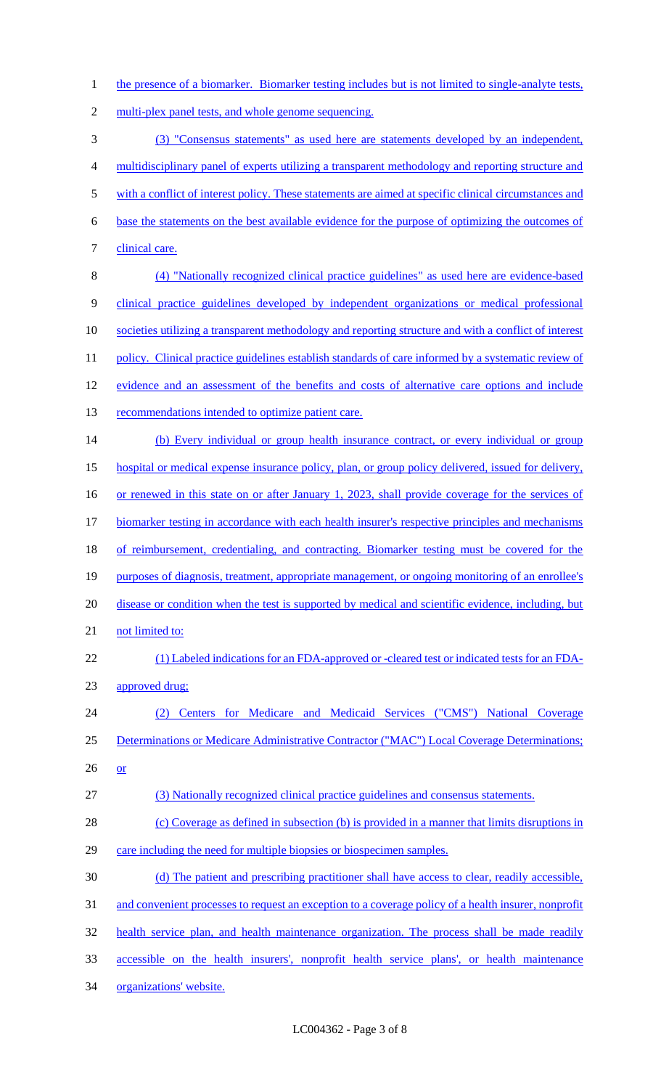1 the presence of a biomarker. Biomarker testing includes but is not limited to single-analyte tests,

2 multi-plex panel tests, and whole genome sequencing.

3 (3) "Consensus statements" as used here are statements developed by an independent, 4 multidisciplinary panel of experts utilizing a transparent methodology and reporting structure and 5 with a conflict of interest policy. These statements are aimed at specific clinical circumstances and 6 base the statements on the best available evidence for the purpose of optimizing the outcomes of 7 clinical care. 8 (4) "Nationally recognized clinical practice guidelines" as used here are evidence-based 9 clinical practice guidelines developed by independent organizations or medical professional 10 societies utilizing a transparent methodology and reporting structure and with a conflict of interest 11 policy. Clinical practice guidelines establish standards of care informed by a systematic review of 12 evidence and an assessment of the benefits and costs of alternative care options and include 13 recommendations intended to optimize patient care. 14 (b) Every individual or group health insurance contract, or every individual or group 15 hospital or medical expense insurance policy, plan, or group policy delivered, issued for delivery, 16 or renewed in this state on or after January 1, 2023, shall provide coverage for the services of 17 biomarker testing in accordance with each health insurer's respective principles and mechanisms 18 of reimbursement, credentialing, and contracting. Biomarker testing must be covered for the 19 purposes of diagnosis, treatment, appropriate management, or ongoing monitoring of an enrollee's 20 disease or condition when the test is supported by medical and scientific evidence, including, but 21 not limited to: 22 (1) Labeled indications for an FDA-approved or -cleared test or indicated tests for an FDA-23 approved drug; 24 (2) Centers for Medicare and Medicaid Services ("CMS") National Coverage 25 Determinations or Medicare Administrative Contractor ("MAC") Local Coverage Determinations; 26 or 27 (3) Nationally recognized clinical practice guidelines and consensus statements. 28 (c) Coverage as defined in subsection (b) is provided in a manner that limits disruptions in 29 care including the need for multiple biopsies or biospecimen samples. 30 (d) The patient and prescribing practitioner shall have access to clear, readily accessible, 31 and convenient processes to request an exception to a coverage policy of a health insurer, nonprofit 32 health service plan, and health maintenance organization. The process shall be made readily 33 accessible on the health insurers', nonprofit health service plans', or health maintenance 34 organizations' website.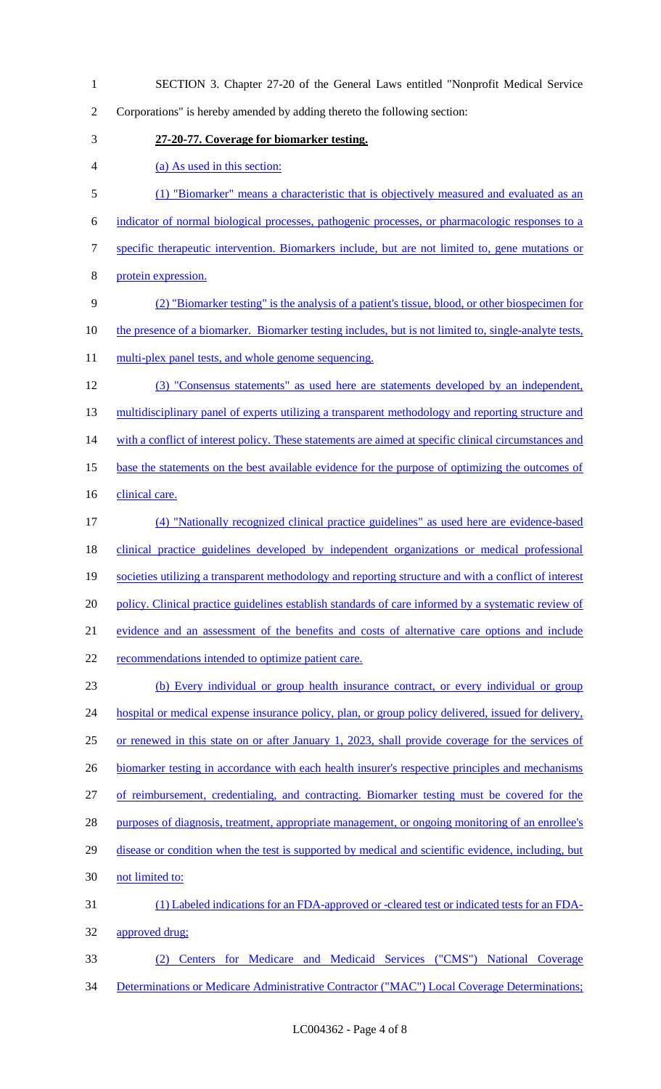SECTION 3. Chapter 27-20 of the General Laws entitled "Nonprofit Medical Service Corporations" is hereby amended by adding thereto the following section: **27-20-77. Coverage for biomarker testing.** (a) As used in this section: (1) "Biomarker" means a characteristic that is objectively measured and evaluated as an indicator of normal biological processes, pathogenic processes, or pharmacologic responses to a specific therapeutic intervention. Biomarkers include, but are not limited to, gene mutations or protein expression. (2) "Biomarker testing" is the analysis of a patient's tissue, blood, or other biospecimen for 10 the presence of a biomarker. Biomarker testing includes, but is not limited to, single-analyte tests, 11 multi-plex panel tests, and whole genome sequencing. (3) "Consensus statements" as used here are statements developed by an independent, 13 multidisciplinary panel of experts utilizing a transparent methodology and reporting structure and 14 with a conflict of interest policy. These statements are aimed at specific clinical circumstances and base the statements on the best available evidence for the purpose of optimizing the outcomes of 16 clinical care. (4) "Nationally recognized clinical practice guidelines" as used here are evidence-based clinical practice guidelines developed by independent organizations or medical professional societies utilizing a transparent methodology and reporting structure and with a conflict of interest policy. Clinical practice guidelines establish standards of care informed by a systematic review of evidence and an assessment of the benefits and costs of alternative care options and include 22 recommendations intended to optimize patient care. (b) Every individual or group health insurance contract, or every individual or group 24 hospital or medical expense insurance policy, plan, or group policy delivered, issued for delivery, or renewed in this state on or after January 1, 2023, shall provide coverage for the services of 26 biomarker testing in accordance with each health insurer's respective principles and mechanisms of reimbursement, credentialing, and contracting. Biomarker testing must be covered for the 28 purposes of diagnosis, treatment, appropriate management, or ongoing monitoring of an enrollee's 29 disease or condition when the test is supported by medical and scientific evidence, including, but not limited to: (1) Labeled indications for an FDA-approved or -cleared test or indicated tests for an FDA- approved drug; (2) Centers for Medicare and Medicaid Services ("CMS") National Coverage 34 Determinations or Medicare Administrative Contractor ("MAC") Local Coverage Determinations;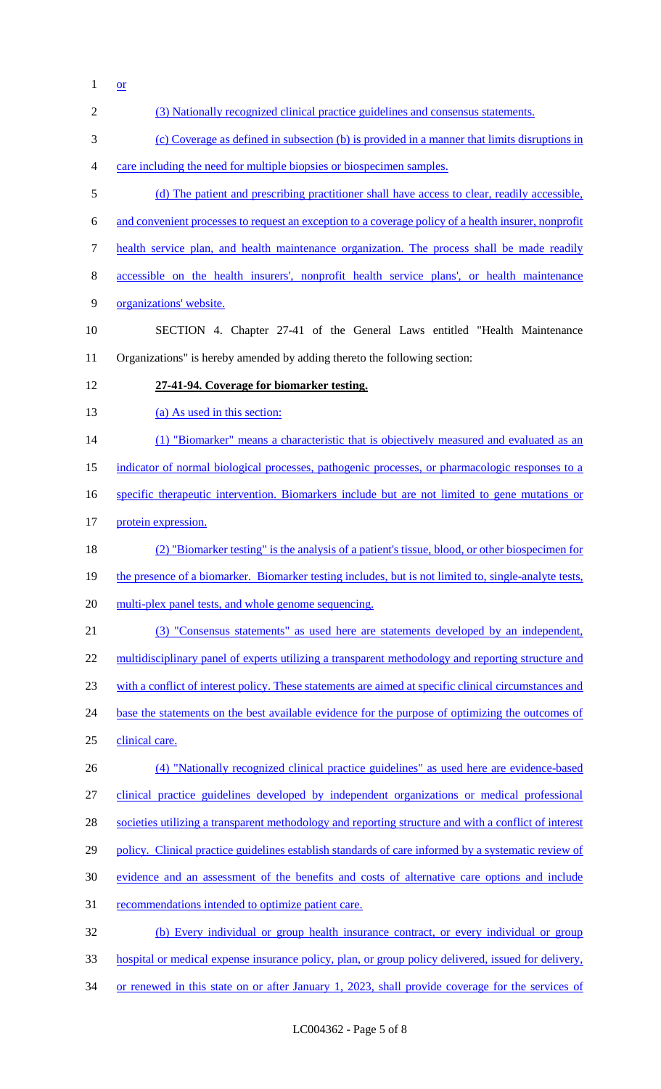$1 \quad \text{or}$ 

| $\overline{2}$   | (3) Nationally recognized clinical practice guidelines and consensus statements.                      |
|------------------|-------------------------------------------------------------------------------------------------------|
| 3                | (c) Coverage as defined in subsection (b) is provided in a manner that limits disruptions in          |
| $\overline{4}$   | care including the need for multiple biopsies or biospecimen samples.                                 |
| $\mathfrak{S}$   | (d) The patient and prescribing practitioner shall have access to clear, readily accessible,          |
| 6                | and convenient processes to request an exception to a coverage policy of a health insurer, nonprofit  |
| $\boldsymbol{7}$ | health service plan, and health maintenance organization. The process shall be made readily           |
| $8\,$            | accessible on the health insurers', nonprofit health service plans', or health maintenance            |
| 9                | organizations' website.                                                                               |
| 10               | SECTION 4. Chapter 27-41 of the General Laws entitled "Health Maintenance"                            |
| 11               | Organizations" is hereby amended by adding thereto the following section:                             |
| 12               | 27-41-94. Coverage for biomarker testing.                                                             |
| 13               | (a) As used in this section:                                                                          |
| 14               | (1) "Biomarker" means a characteristic that is objectively measured and evaluated as an               |
| 15               | indicator of normal biological processes, pathogenic processes, or pharmacologic responses to a       |
| 16               | specific therapeutic intervention. Biomarkers include but are not limited to gene mutations or        |
| 17               | protein expression.                                                                                   |
| 18               | (2) "Biomarker testing" is the analysis of a patient's tissue, blood, or other biospecimen for        |
| 19               | the presence of a biomarker. Biomarker testing includes, but is not limited to, single-analyte tests, |
| 20               | multi-plex panel tests, and whole genome sequencing.                                                  |
| 21               | (3) "Consensus statements" as used here are statements developed by an independent,                   |
| 22               | multidisciplinary panel of experts utilizing a transparent methodology and reporting structure and    |
| 23               | with a conflict of interest policy. These statements are aimed at specific clinical circumstances and |
| 24               | base the statements on the best available evidence for the purpose of optimizing the outcomes of      |
| 25               | clinical care.                                                                                        |
| 26               | (4) "Nationally recognized clinical practice guidelines" as used here are evidence-based              |
| 27               | clinical practice guidelines developed by independent organizations or medical professional           |
| 28               | societies utilizing a transparent methodology and reporting structure and with a conflict of interest |
| 29               | policy. Clinical practice guidelines establish standards of care informed by a systematic review of   |
| 30               | evidence and an assessment of the benefits and costs of alternative care options and include          |
| 31               | recommendations intended to optimize patient care.                                                    |
| 32               | (b) Every individual or group health insurance contract, or every individual or group                 |
| 33               | hospital or medical expense insurance policy, plan, or group policy delivered, issued for delivery,   |
| 34               | or renewed in this state on or after January 1, 2023, shall provide coverage for the services of      |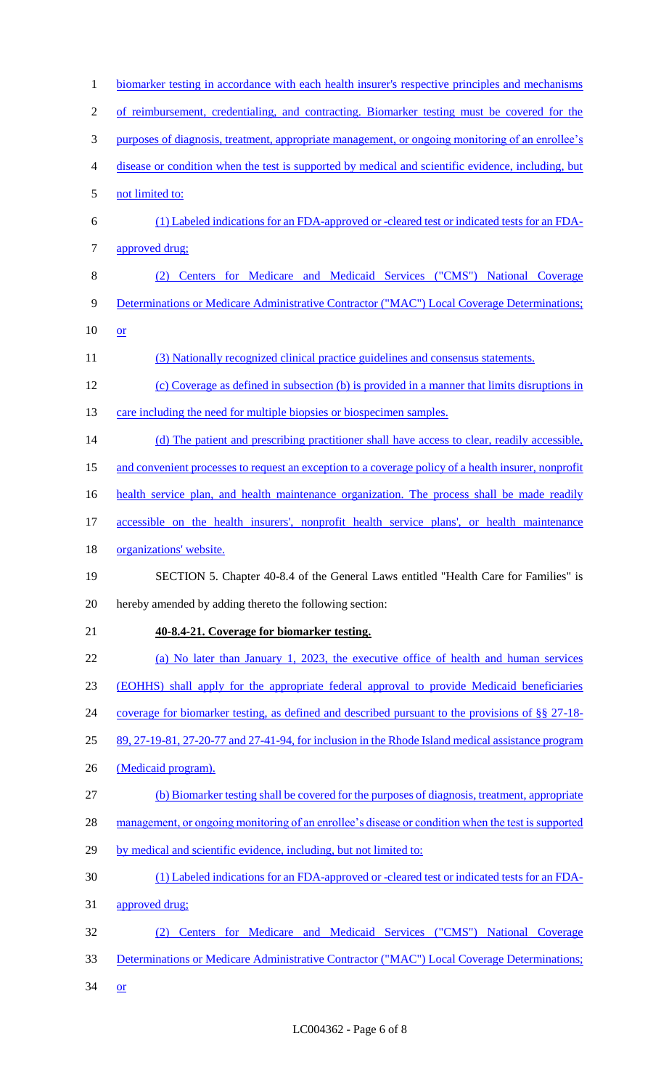| $\mathbf{1}$   | biomarker testing in accordance with each health insurer's respective principles and mechanisms      |
|----------------|------------------------------------------------------------------------------------------------------|
| $\overline{2}$ | of reimbursement, credentialing, and contracting. Biomarker testing must be covered for the          |
| 3              | purposes of diagnosis, treatment, appropriate management, or ongoing monitoring of an enrollee's     |
| 4              | disease or condition when the test is supported by medical and scientific evidence, including, but   |
| 5              | not limited to:                                                                                      |
| 6              | (1) Labeled indications for an FDA-approved or -cleared test or indicated tests for an FDA-          |
| 7              | approved drug;                                                                                       |
| 8              | Centers for Medicare and Medicaid Services ("CMS") National Coverage                                 |
| 9              | Determinations or Medicare Administrative Contractor ("MAC") Local Coverage Determinations;          |
| 10             | or                                                                                                   |
| 11             | (3) Nationally recognized clinical practice guidelines and consensus statements.                     |
| 12             | (c) Coverage as defined in subsection (b) is provided in a manner that limits disruptions in         |
| 13             | care including the need for multiple biopsies or biospecimen samples.                                |
| 14             | (d) The patient and prescribing practitioner shall have access to clear, readily accessible,         |
| 15             | and convenient processes to request an exception to a coverage policy of a health insurer, nonprofit |
| 16             | health service plan, and health maintenance organization. The process shall be made readily          |
| 17             | accessible on the health insurers', nonprofit health service plans', or health maintenance           |
| 18             | organizations' website.                                                                              |
| 19             | SECTION 5. Chapter 40-8.4 of the General Laws entitled "Health Care for Families" is                 |
| 20             | hereby amended by adding thereto the following section:                                              |
| 21             | 40-8.4-21. Coverage for biomarker testing.                                                           |
| 22             | (a) No later than January 1, 2023, the executive office of health and human services                 |
| 23             | (EOHHS) shall apply for the appropriate federal approval to provide Medicaid beneficiaries           |
| 24             | coverage for biomarker testing, as defined and described pursuant to the provisions of §§ 27-18-     |
| 25             | 89, 27-19-81, 27-20-77 and 27-41-94, for inclusion in the Rhode Island medical assistance program    |
| 26             | (Medicaid program).                                                                                  |
| 27             | (b) Biomarker testing shall be covered for the purposes of diagnosis, treatment, appropriate         |
| 28             | management, or ongoing monitoring of an enrollee's disease or condition when the test is supported   |
| 29             | by medical and scientific evidence, including, but not limited to:                                   |
| 30             | (1) Labeled indications for an FDA-approved or -cleared test or indicated tests for an FDA-          |
| 31             | approved drug;                                                                                       |
| 32             | Centers for Medicare and Medicaid Services ("CMS") National Coverage                                 |
| 33             | Determinations or Medicare Administrative Contractor ("MAC") Local Coverage Determinations;          |
| 34             | <b>or</b>                                                                                            |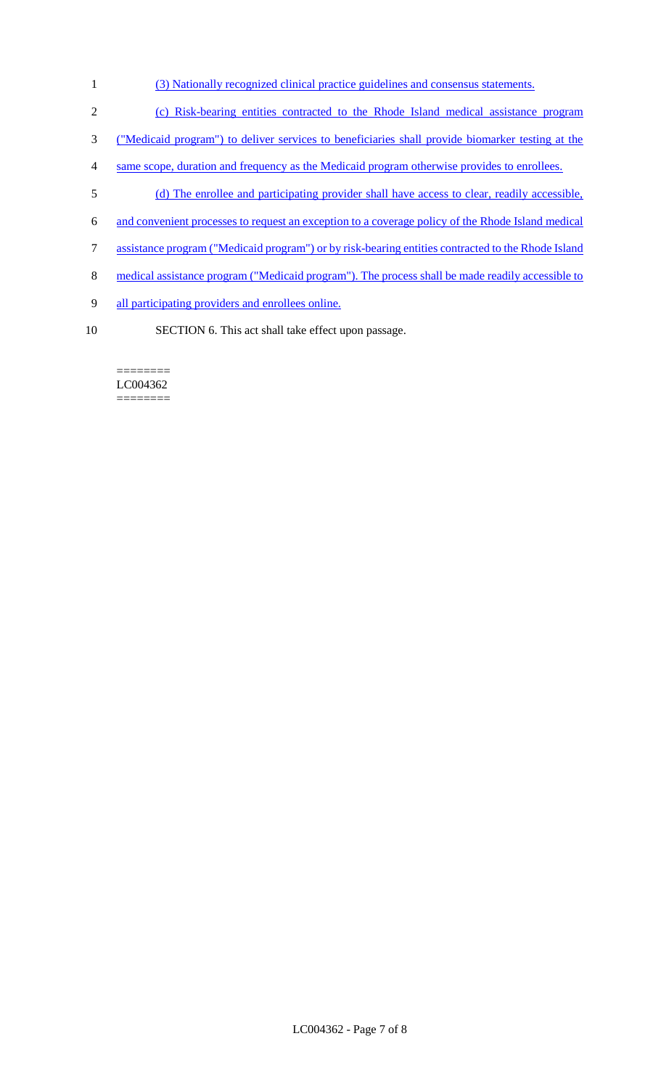- (3) Nationally recognized clinical practice guidelines and consensus statements.
- (c) Risk-bearing entities contracted to the Rhode Island medical assistance program
- ("Medicaid program") to deliver services to beneficiaries shall provide biomarker testing at the
- same scope, duration and frequency as the Medicaid program otherwise provides to enrollees.
- (d) The enrollee and participating provider shall have access to clear, readily accessible,
- and convenient processes to request an exception to a coverage policy of the Rhode Island medical
- assistance program ("Medicaid program") or by risk-bearing entities contracted to the Rhode Island
- 8 medical assistance program ("Medicaid program"). The process shall be made readily accessible to
- all participating providers and enrollees online.
- SECTION 6. This act shall take effect upon passage.

======== LC004362 ========